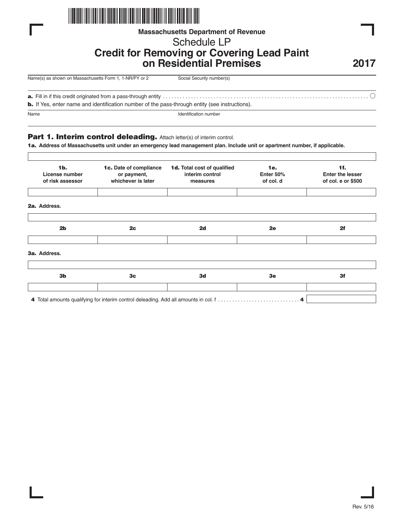

## **Massachusetts Department of Revenue**

# Schedule LP

## **Credit for Removing or Covering Lead Paint on Residential Premises**

**2017**

| Name(s) as shown on Massachusetts Form 1, 1-NR/PY or 2 | Social Security number(s) |
|--------------------------------------------------------|---------------------------|
|                                                        |                           |

**a.** Fill in if this credit originated from a pass-through entity . . . . . . . . . . . . . . . . . . . . . . . . . . . . . . . . . . . . . . . . . . . . . . . . . . . . . . . . . . . . . . . . . . . . . . . . .

**b.** If Yes, enter name and identification number of the pass-through entity (see instructions).

Name Identification number

## **Part 1. Interim control deleading.** Attach letter(s) of interim control.

**1a. Address of Massachusetts unit under an emergency lead management plan. Include unit or apartment number, if applicable.**

| 1 <sub>b</sub><br>License number<br>of risk assessor | 1c. Date of compliance<br>or payment,<br>whichever is later | <b>1d.</b> Total cost of qualified<br>interim control<br>measures | 1e.<br>Enter 50%<br>of col. d | 1f.<br><b>Enter the lesser</b><br>of col. e or \$500 |
|------------------------------------------------------|-------------------------------------------------------------|-------------------------------------------------------------------|-------------------------------|------------------------------------------------------|
| 2a. Address.                                         |                                                             |                                                                   |                               |                                                      |
| 2 <sub>b</sub>                                       | 2c                                                          | 2d                                                                | 2e                            | 2f                                                   |
| 3a. Address.                                         |                                                             |                                                                   |                               |                                                      |
| 3 <sub>b</sub>                                       | 3 <sub>c</sub>                                              | 3d                                                                | 3e                            | 3f                                                   |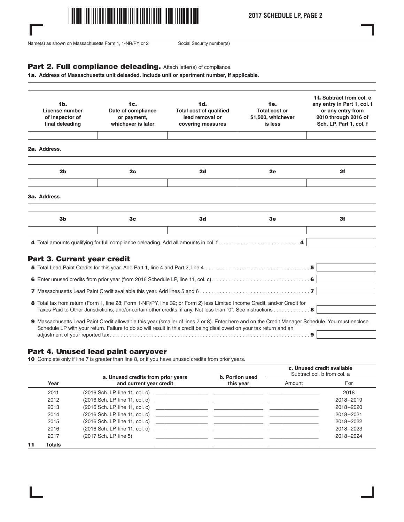

**2017 SCHEDULE LP, PAGE 2**

Name(s) as shown on Massachusetts Form 1, 1-NR/PY or 2 Social Security number(s)

 $\Gamma$ 

#### Part 2. Full compliance deleading. Attach letter(s) of compliance.

**1a. Address of Massachusetts unit deleaded. Include unit or apartment number, if applicable.**

| 1 <sub>b</sub><br>License number<br>of inspector of<br>final deleading | 1c.<br>Date of compliance<br>or payment,<br>whichever is later | 1d.<br><b>Total cost of qualified</b><br>lead removal or<br>covering measures | 1e.<br><b>Total cost or</b><br>\$1,500, whichever<br>is less | 1f. Subtract from col. e.<br>any entry in Part 1, col. f<br>or any entry from<br>2010 through 2016 of<br>Sch. LP, Part 1, col. f |
|------------------------------------------------------------------------|----------------------------------------------------------------|-------------------------------------------------------------------------------|--------------------------------------------------------------|----------------------------------------------------------------------------------------------------------------------------------|
| 2a. Address.                                                           |                                                                |                                                                               |                                                              |                                                                                                                                  |
|                                                                        |                                                                |                                                                               |                                                              |                                                                                                                                  |
| 2 <sub>b</sub>                                                         | 2 <sub>c</sub>                                                 | 2d                                                                            | 2e                                                           | 2f                                                                                                                               |
| 3a. Address.                                                           |                                                                |                                                                               |                                                              |                                                                                                                                  |
|                                                                        |                                                                |                                                                               |                                                              |                                                                                                                                  |
|                                                                        | 3 <sub>c</sub>                                                 | 3d                                                                            | 3e                                                           | 3f                                                                                                                               |

## **Part 3. Current year credit**

| 8 Total tax from return (Form 1, line 28; Form 1-NR/PY, line 32; or Form 2) less Limited Income Credit, and/or Credit for<br>Taxes Paid to Other Jurisdictions, and/or certain other credits, if any. Not less than "0". See instructions 8                              |  |
|--------------------------------------------------------------------------------------------------------------------------------------------------------------------------------------------------------------------------------------------------------------------------|--|
| 9 Massachusetts Lead Paint Credit allowable this year (smaller of lines 7 or 8). Enter here and on the Credit Manager Schedule. You must enclose<br>Schedule LP with your return. Failure to do so will result in this credit being disallowed on your tax return and an |  |

adjustment of your reported tax. . . . . . . . . . . . . . . . . . . . . . . . . . . . . . . . . . . . . . . . . . . . . . . . . . . . . . . . . . . . . . . . . . . . . . . **9**

### **Part 4. Unused lead paint carryover**

**10** Complete only if line 7 is greater than line 8, or if you have unused credits from prior years.

|    | Year   | a. Unused credits from prior years<br>and current year credit | b. Portion used<br>this year                                                                                          | c. Unused credit available<br>Subtract col. b from col. a |           |
|----|--------|---------------------------------------------------------------|-----------------------------------------------------------------------------------------------------------------------|-----------------------------------------------------------|-----------|
|    |        |                                                               |                                                                                                                       | Amount                                                    | For       |
|    | 2011   | (2016 Sch. LP, line 11, col. c)                               | <u> 1980 - Jan James Alemania, martin amerikan basar dan berasal dan berasal dari berasal dalam berasal dalam ber</u> |                                                           | 2018      |
|    | 2012   | (2016 Sch. LP, line 11, col. c) ______________                |                                                                                                                       |                                                           | 2018-2019 |
|    | 2013   | (2016 Sch. LP, line 11, col. c)                               |                                                                                                                       |                                                           | 2018-2020 |
|    | 2014   | $(2016$ Sch. LP, line 11, col. c)                             |                                                                                                                       |                                                           | 2018-2021 |
|    | 2015   | (2016 Sch. LP, line 11, col. c)                               | <u> 1980 - Andrea Andrew Maria (h. 1980).</u>                                                                         |                                                           | 2018-2022 |
|    | 2016   | (2016 Sch. LP, line 11, col. c)                               |                                                                                                                       |                                                           | 2018-2023 |
|    | 2017   | (2017 Sch. LP, line 5)                                        |                                                                                                                       |                                                           | 2018-2024 |
| 11 | Totals |                                                               |                                                                                                                       |                                                           |           |